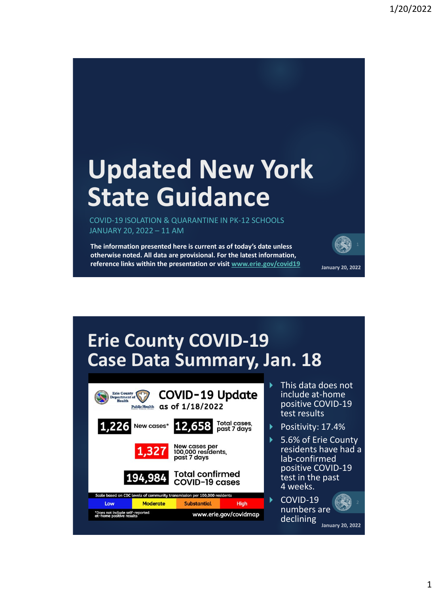## **Updated New York State Guidance**

COVID-19 ISOLATION & QUARANTINE IN PK-12 SCHOOLS JANUARY 20, 2022 – 11 AM

**The information presented here is current as of today's date unless otherwise noted. All data are provisional. For the latest information, reference links within the presentation or visit [www.erie.gov/covid19](http://www.erie.gov/covid19)**



**January 20, 2022** 

## **Erie County COVID-19 Case Data Summary, Jan. 18**

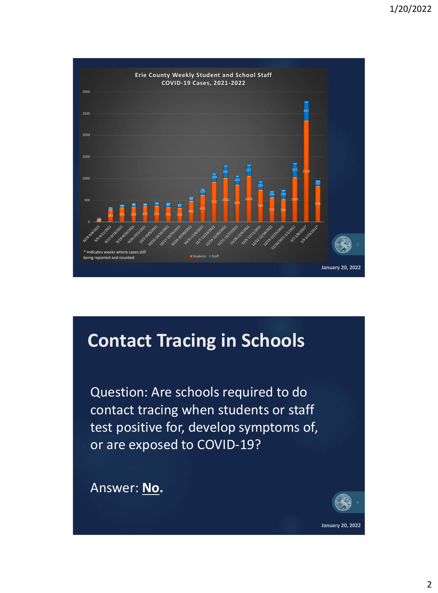

### **Contact Tracing in Schools**

Question: Are schools required to do contact tracing when students or staff test positive for, develop symptoms of, or are exposed to COVID-19?

Answer: **No.** 

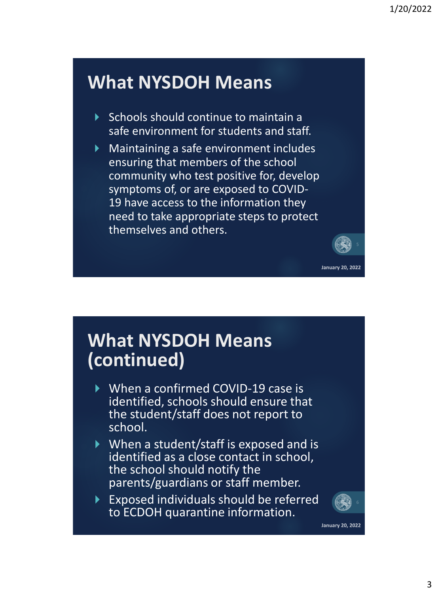### **What NYSDOH Means**

- ▶ Schools should continue to maintain a safe environment for students and staff.
- Maintaining a safe environment includes ensuring that members of the school community who test positive for, develop symptoms of, or are exposed to COVID-19 have access to the information they need to take appropriate steps to protect themselves and others.



### **What NYSDOH Means (continued)**

- ▶ When a confirmed COVID-19 case is identified, schools should ensure that the student/staff does not report to school.
- When a student/staff is exposed and is identified as a close contact in school, the school should notify the parents/guardians or staff member.
- Exposed individuals should be referred to ECDOH quarantine information.



**January 20, 2022**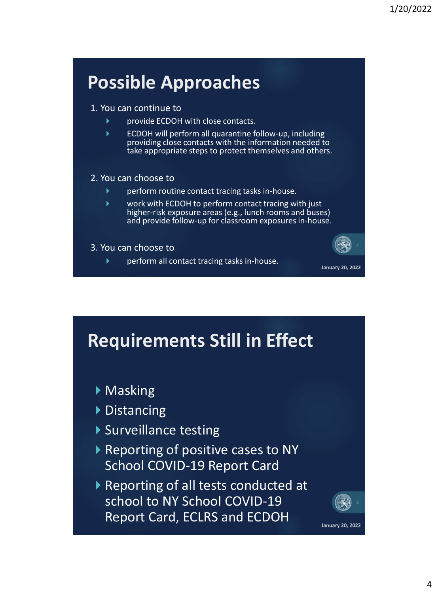### **Possible Approaches**

- 1. You can continue to
	- provide ECDOH with close contacts.
	- ECDOH will perform all quarantine follow-up, including providing close contacts with the information needed to take appropriate steps to protect themselves and others.

#### 2. You can choose to

- **Perform routine contact tracing tasks in-house.**
- work with ECDOH to perform contact tracing with just higher-risk exposure areas (e.g., lunch rooms and buses) and provide follow-up for classroom exposures in-house.

3. You can choose to

perform all contact tracing tasks in-house.



**January 20, 2022** 

### **Requirements Still in Effect**

- ▶ Masking
- ▶ Distancing
- ▶ Surveillance testing
- Reporting of positive cases to NY School COVID-19 Report Card
- ▶ Reporting of all tests conducted at school to NY School COVID-19 Report Card, ECLRS and ECDOH

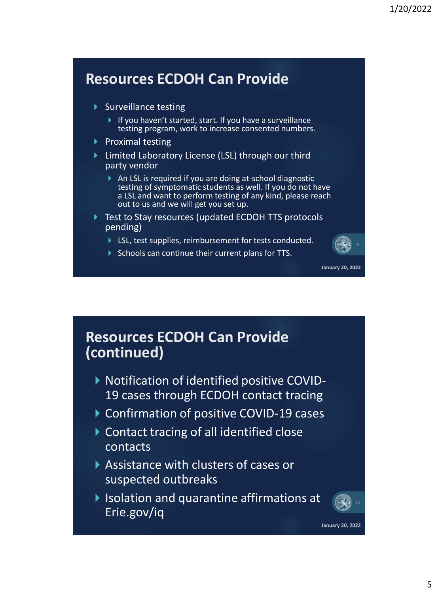### **Resources ECDOH Can Provide**

- ▶ Surveillance testing
	- If you haven't started, start. If you have a surveillance testing program, work to increase consented numbers.
- $\blacktriangleright$  Proximal testing
- Limited Laboratory License (LSL) through our third party vendor
	- An LSL is required if you are doing at-school diagnostic testing of symptomatic students as well. If you do not have a LSL and want to perform testing of any kind, please reach out to us and we will get you set up.
- ▶ Test to Stay resources (updated ECDOH TTS protocols pending)
	- ▶ LSL, test supplies, reimbursement for tests conducted.
	- $\triangleright$  Schools can continue their current plans for TTS.



**Resources ECDOH Can Provide (continued)**

- Notification of identified positive COVID-19 cases through ECDOH contact tracing
- ▶ Confirmation of positive COVID-19 cases
- ▶ Contact tracing of all identified close contacts
- Assistance with clusters of cases or suspected outbreaks
- ▶ Isolation and quarantine affirmations at Erie.gov/iq



**January 20, 2022**